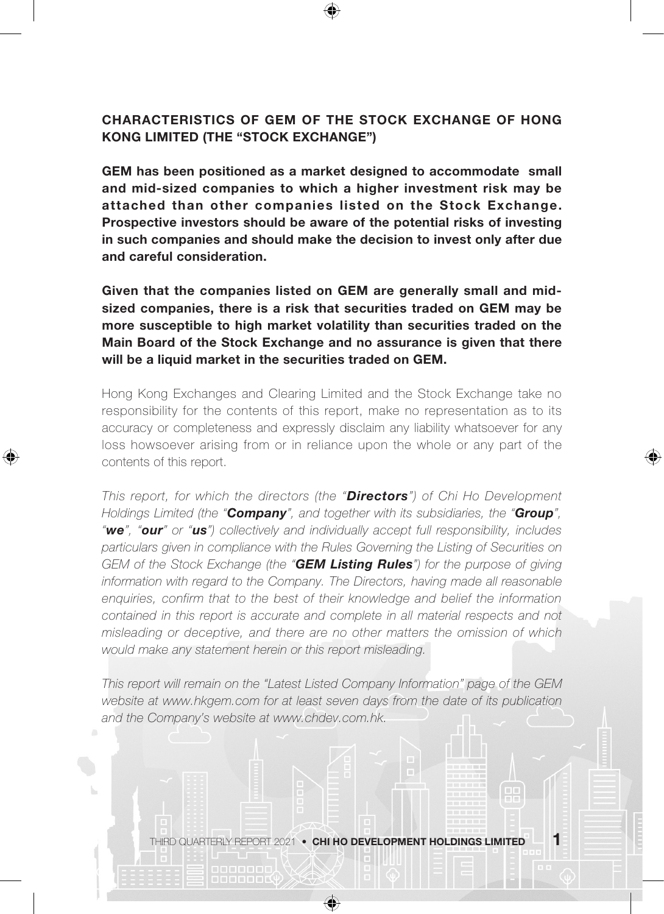## CHARACTERISTICS OF GEM OF THE STOCK EXCHANGE OF HONG KONG LIMITED (THE "STOCK EXCHANGE")

GEM has been positioned as a market designed to accommodate small and mid-sized companies to which a higher investment risk may be attached than other companies listed on the Stock Exchange. Prospective investors should be aware of the potential risks of investing in such companies and should make the decision to invest only after due and careful consideration.

Given that the companies listed on GEM are generally small and midsized companies, there is a risk that securities traded on GEM may be more susceptible to high market volatility than securities traded on the Main Board of the Stock Exchange and no assurance is given that there will be a liquid market in the securities traded on GEM.

Hong Kong Exchanges and Clearing Limited and the Stock Exchange take no responsibility for the contents of this report, make no representation as to its accuracy or completeness and expressly disclaim any liability whatsoever for any loss howsoever arising from or in reliance upon the whole or any part of the contents of this report.

⊕

⊕

*This report, for which the directors (the "Directors") of Chi Ho Development Holdings Limited (the "Company", and together with its subsidiaries, the "Group", "we", "our" or "us") collectively and individually accept full responsibility, includes particulars given in compliance with the Rules Governing the Listing of Securities on GEM of the Stock Exchange (the "GEM Listing Rules") for the purpose of giving information with regard to the Company. The Directors, having made all reasonable enquiries, confirm that to the best of their knowledge and belief the information contained in this report is accurate and complete in all material respects and not misleading or deceptive, and there are no other matters the omission of which would make any statement herein or this report misleading.*

*This report will remain on the "Latest Listed Company Information" page of the GEM*  website at www.hkgem.com for at least seven days from the date of its publication *and the Company's website at www.chdev.com.hk.*

THIRD QUARTERLY REPORT 2021 • CHI HO DEVELOPMENT HOLDINGS LIMITED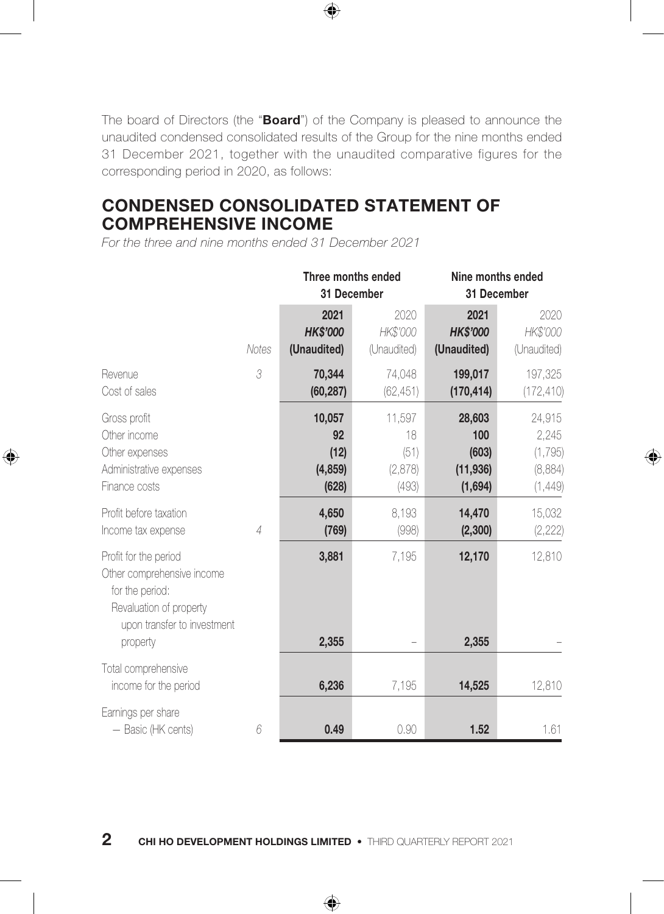The board of Directors (the "**Board**") of the Company is pleased to announce the unaudited condensed consolidated results of the Group for the nine months ended 31 December 2021, together with the unaudited comparative figures for the corresponding period in 2020, as follows:

⊕

## CONDENSED CONSOLIDATED STATEMENT OF COMPREHENSIVE INCOME

*For the three and nine months ended 31 December 2021*

◈

|                                                                                                                                              |       | Three months ended<br>31 December         |                                          | Nine months ended<br>31 December               |                                                   |
|----------------------------------------------------------------------------------------------------------------------------------------------|-------|-------------------------------------------|------------------------------------------|------------------------------------------------|---------------------------------------------------|
|                                                                                                                                              | Notes | 2021<br><b>HK\$'000</b><br>(Unaudited)    | 2020<br>HK\$'000<br>(Unaudited)          | 2021<br><b>HK\$'000</b><br>(Unaudited)         | 2020<br>HK\$'000<br>(Unaudited)                   |
| Revenue<br>Cost of sales                                                                                                                     | 3     | 70,344<br>(60, 287)                       | 74,048<br>(62, 451)                      | 199,017<br>(170, 414)                          | 197,325<br>(172, 410)                             |
| Gross profit<br>Other income<br>Other expenses<br>Administrative expenses<br>Finance costs                                                   |       | 10,057<br>92<br>(12)<br>(4, 859)<br>(628) | 11,597<br>18<br>(51)<br>(2,878)<br>(493) | 28,603<br>100<br>(603)<br>(11, 936)<br>(1,694) | 24,915<br>2,245<br>(1, 795)<br>(8,884)<br>(1,449) |
| Profit before taxation<br>Income tax expense                                                                                                 | 4     | 4,650<br>(769)                            | 8.193<br>(998)                           | 14,470<br>(2,300)                              | 15,032<br>(2, 222)                                |
| Profit for the period<br>Other comprehensive income<br>for the period:<br>Revaluation of property<br>upon transfer to investment<br>property |       | 3,881<br>2,355                            | 7,195                                    | 12,170<br>2,355                                | 12,810                                            |
| Total comprehensive<br>income for the period                                                                                                 |       | 6,236                                     | 7,195                                    | 14,525                                         | 12,810                                            |
| Earnings per share<br>- Basic (HK cents)                                                                                                     | 6     | 0.49                                      | 0.90                                     | 1.52                                           | 1.61                                              |

◈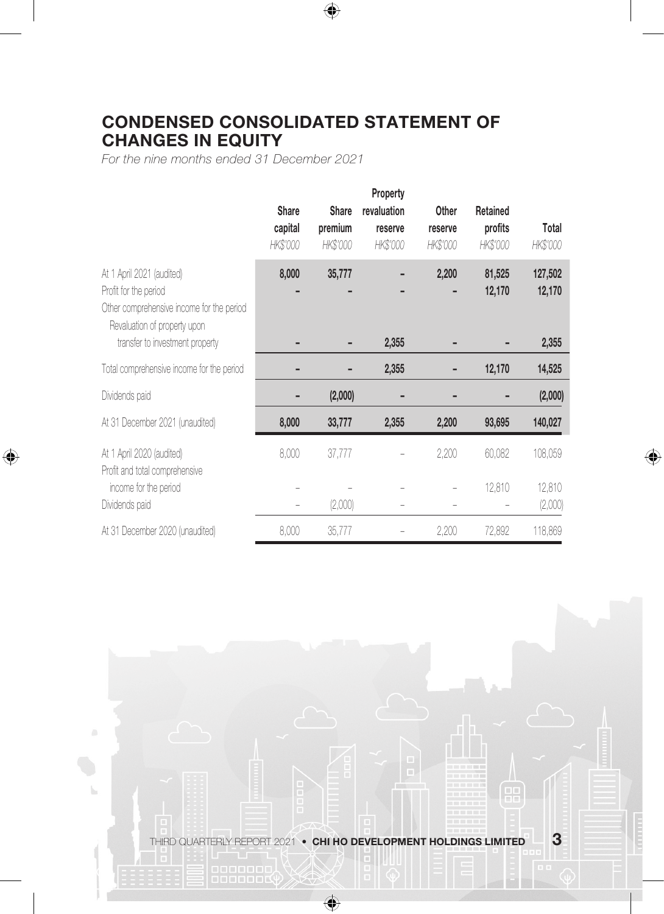# CONDENSED CONSOLIDATED STATEMENT OF CHANGES IN EQUITY

 $\bigoplus$ 

*For the nine months ended 31 December 2021*

◈

|                                                                                                                                                                    | <b>Share</b><br>capital<br>HK\$'000 | <b>Share</b><br>premium<br>HK\$'000 | Property<br>revaluation<br>reserve<br>HK\$'000 | Other<br>reserve<br>HK\$'000 | Retained<br>profits<br>HK\$'000 | Total<br>HK\$'000          |
|--------------------------------------------------------------------------------------------------------------------------------------------------------------------|-------------------------------------|-------------------------------------|------------------------------------------------|------------------------------|---------------------------------|----------------------------|
| At 1 April 2021 (audited)<br>Profit for the period<br>Other comprehensive income for the period<br>Revaluation of property upon<br>transfer to investment property | 8,000                               | 35,777                              | 2,355                                          | 2,200                        | 81,525<br>12,170                | 127,502<br>12,170<br>2,355 |
| Total comprehensive income for the period                                                                                                                          |                                     |                                     | 2,355                                          |                              | 12,170                          | 14,525                     |
| Dividends paid                                                                                                                                                     |                                     | (2,000)                             |                                                |                              |                                 | (2,000)                    |
| At 31 December 2021 (unaudited)                                                                                                                                    | 8,000                               | 33,777                              | 2,355                                          | 2,200                        | 93,695                          | 140,027                    |
| At 1 April 2020 (audited)<br>Profit and total comprehensive                                                                                                        | 8,000                               | 37,777                              |                                                | 2,200                        | 60,082                          | 108,059                    |
| income for the period<br>Dividends paid                                                                                                                            |                                     | (2,000)                             |                                                |                              | 12,810                          | 12,810<br>(2,000)          |
| At 31 December 2020 (unaudited)                                                                                                                                    | 8,000                               | 35,777                              |                                                | 2,200                        | 72,892                          | 118,869                    |

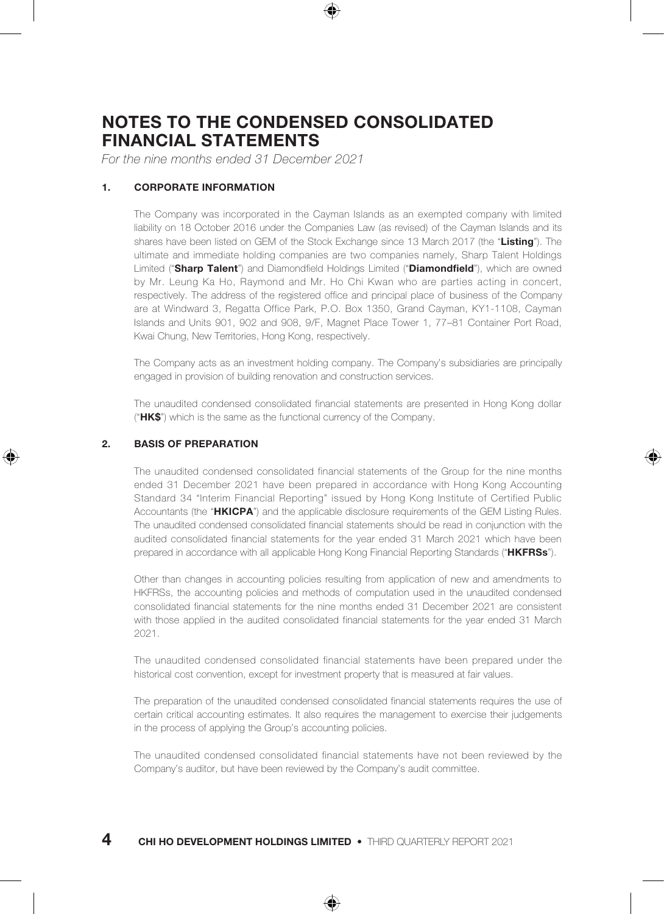## NOTES TO THE CONDENSED CONSOLIDATED FINANCIAL STATEMENTS

*For the nine months ended 31 December 2021*

#### 1. CORPORATE INFORMATION

The Company was incorporated in the Cayman Islands as an exempted company with limited liability on 18 October 2016 under the Companies Law (as revised) of the Cayman Islands and its shares have been listed on GEM of the Stock Exchange since 13 March 2017 (the "Listing"). The ultimate and immediate holding companies are two companies namely, Sharp Talent Holdings Limited ("Sharp Talent") and Diamondfield Holdings Limited ("Diamondfield"), which are owned by Mr. Leung Ka Ho, Raymond and Mr. Ho Chi Kwan who are parties acting in concert, respectively. The address of the registered office and principal place of business of the Company are at Windward 3, Regatta Office Park, P.O. Box 1350, Grand Cayman, KY1-1108, Cayman Islands and Units 901, 902 and 908, 9/F, Magnet Place Tower 1, 77–81 Container Port Road, Kwai Chung, New Territories, Hong Kong, respectively.

The Company acts as an investment holding company. The Company's subsidiaries are principally engaged in provision of building renovation and construction services.

The unaudited condensed consolidated financial statements are presented in Hong Kong dollar (" $HK$  $\sin$ ") which is the same as the functional currency of the Company.

#### 2. BASIS OF PREPARATION

The unaudited condensed consolidated financial statements of the Group for the nine months ended 31 December 2021 have been prepared in accordance with Hong Kong Accounting Standard 34 "Interim Financial Reporting" issued by Hong Kong Institute of Certified Public Accountants (the "HKICPA") and the applicable disclosure requirements of the GEM Listing Rules. The unaudited condensed consolidated financial statements should be read in conjunction with the audited consolidated financial statements for the year ended 31 March 2021 which have been prepared in accordance with all applicable Hong Kong Financial Reporting Standards ("HKFRSs").

Other than changes in accounting policies resulting from application of new and amendments to HKFRSs, the accounting policies and methods of computation used in the unaudited condensed consolidated financial statements for the nine months ended 31 December 2021 are consistent with those applied in the audited consolidated financial statements for the year ended 31 March 2021.

The unaudited condensed consolidated financial statements have been prepared under the historical cost convention, except for investment property that is measured at fair values.

The preparation of the unaudited condensed consolidated financial statements requires the use of certain critical accounting estimates. It also requires the management to exercise their judgements in the process of applying the Group's accounting policies.

The unaudited condensed consolidated financial statements have not been reviewed by the Company's auditor, but have been reviewed by the Company's audit committee.

## $4$  chi ho development holdings limited  $\cdot$  third quarterly report 2021

⊕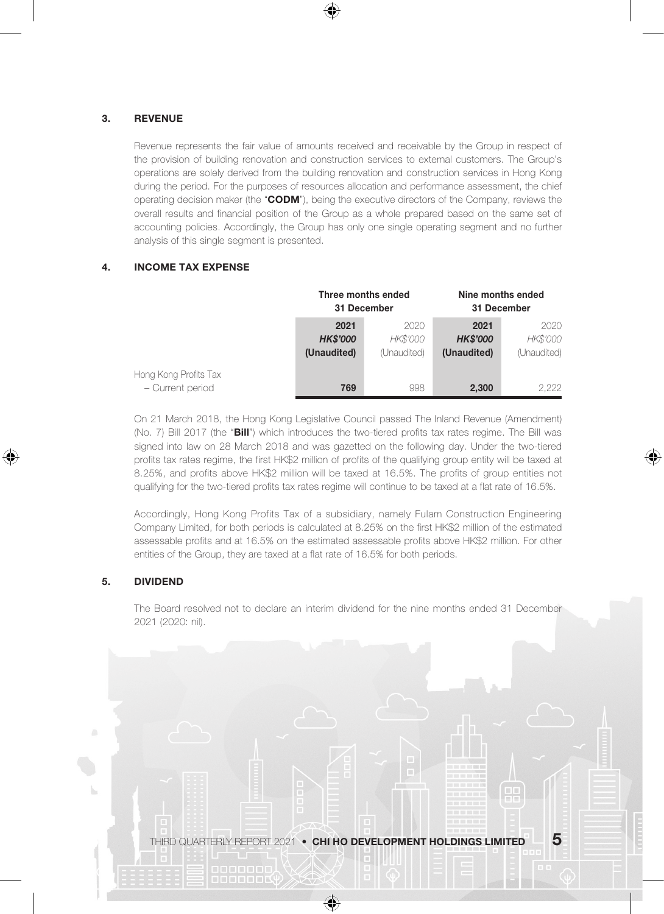#### 3. REVENUE

Revenue represents the fair value of amounts received and receivable by the Group in respect of the provision of building renovation and construction services to external customers. The Group's operations are solely derived from the building renovation and construction services in Hong Kong during the period. For the purposes of resources allocation and performance assessment, the chief operating decision maker (the "CODM"), being the executive directors of the Company, reviews the overall results and financial position of the Group as a whole prepared based on the same set of accounting policies. Accordingly, the Group has only one single operating segment and no further analysis of this single segment is presented.

### 4. INCOME TAX EXPENSE

|                       | Three months ended<br>31 December |             | Nine months ended<br>31 December |             |
|-----------------------|-----------------------------------|-------------|----------------------------------|-------------|
|                       | 2021                              | 2020        | 2021                             | 2020        |
|                       | <b>HK\$'000</b>                   | HK\$'000    | <b>HK\$'000</b>                  | HK\$'000    |
|                       | (Unaudited)                       | (Unaudited) | (Unaudited)                      | (Unaudited) |
| Hong Kong Profits Tax |                                   |             |                                  |             |
| - Current period      | 769                               | 998         | 2,300                            | 2.222       |

On 21 March 2018, the Hong Kong Legislative Council passed The Inland Revenue (Amendment) (No. 7) Bill 2017 (the "Bill") which introduces the two-tiered profits tax rates regime. The Bill was signed into law on 28 March 2018 and was gazetted on the following day. Under the two-tiered profits tax rates regime, the first HK\$2 million of profits of the qualifying group entity will be taxed at 8.25%, and profits above HK\$2 million will be taxed at 16.5%. The profits of group entities not qualifying for the two-tiered profits tax rates regime will continue to be taxed at a flat rate of 16.5%.

♠

Accordingly, Hong Kong Profits Tax of a subsidiary, namely Fulam Construction Engineering Company Limited, for both periods is calculated at 8.25% on the first HK\$2 million of the estimated assessable profits and at 16.5% on the estimated assessable profits above HK\$2 million. For other entities of the Group, they are taxed at a flat rate of 16.5% for both periods.

#### 5. DIVIDEND

◈

The Board resolved not to declare an interim dividend for the nine months ended 31 December 2021 (2020: nil).

THIRD QUARTERLY REPORT 2021 • CHI HO DEVELOPMENT HOLDINGS LIMITED  $-\,5$ 

 $\bigcirc$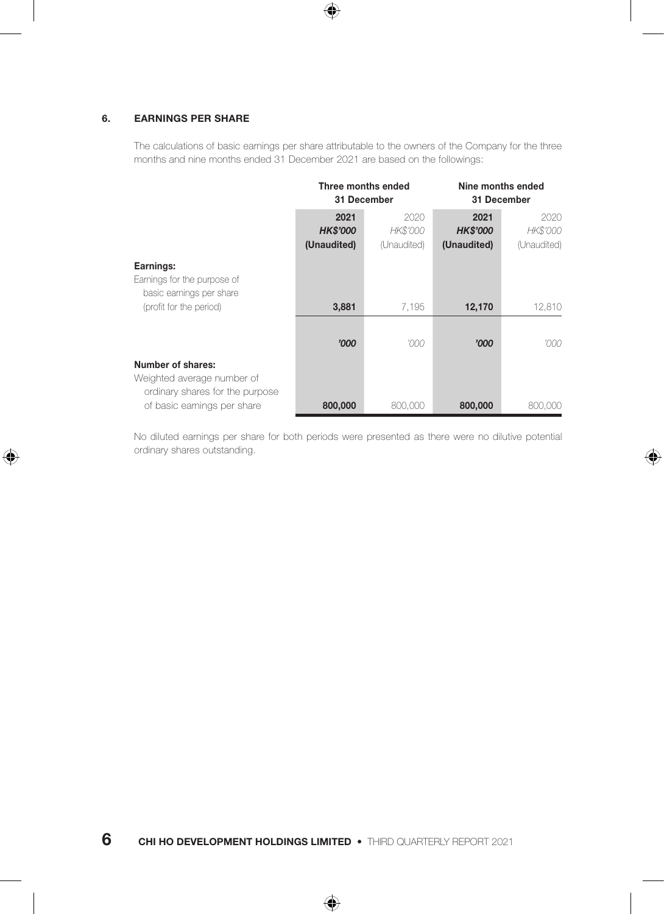#### 6. EARNINGS PER SHARE

◈

The calculations of basic earnings per share attributable to the owners of the Company for the three months and nine months ended 31 December 2021 are based on the followings:

 $\bigoplus$ 

|                                                                      | Three months ended<br>31 December |             | Nine months ended<br>31 December |             |
|----------------------------------------------------------------------|-----------------------------------|-------------|----------------------------------|-------------|
|                                                                      | 2021                              | 2020        | 2021                             | 2020        |
|                                                                      | <b>HK\$'000</b>                   | HK\$'000    | <b>HK\$'000</b>                  | HK\$'000    |
|                                                                      | (Unaudited)                       | (Unaudited) | (Unaudited)                      | (Unaudited) |
| Earnings:<br>Earnings for the purpose of<br>basic earnings per share |                                   |             |                                  |             |
| (profit for the period)                                              | 3,881                             | 7.195       | 12,170                           | 12,810      |
|                                                                      |                                   |             |                                  |             |
|                                                                      | '000                              | '000        | '000                             | '000        |
| <b>Number of shares:</b>                                             |                                   |             |                                  |             |
| Weighted average number of<br>ordinary shares for the purpose        |                                   |             |                                  |             |
| of basic earnings per share                                          | 800,000                           | 800,000     | 800,000                          | 800,000     |

No diluted earnings per share for both periods were presented as there were no dilutive potential ordinary shares outstanding.

⊕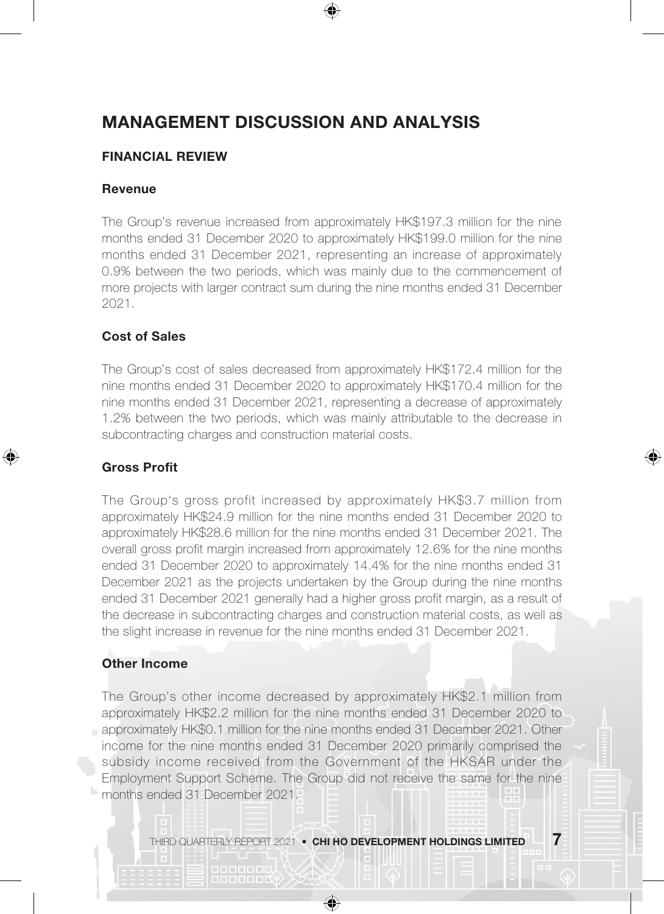## MANAGEMENT DISCUSSION AND ANALYSIS

## FINANCIAL REVIEW

### Revenue

The Group's revenue increased from approximately HK\$197.3 million for the nine months ended 31 December 2020 to approximately HK\$199.0 million for the nine months ended 31 December 2021, representing an increase of approximately 0.9% between the two periods, which was mainly due to the commencement of more projects with larger contract sum during the nine months ended 31 December 2021.

### Cost of Sales

The Group's cost of sales decreased from approximately HK\$172.4 million for the nine months ended 31 December 2020 to approximately HK\$170.4 million for the nine months ended 31 December 2021, representing a decrease of approximately 1.2% between the two periods, which was mainly attributable to the decrease in subcontracting charges and construction material costs.

⊕

#### Gross Profit

⊕

The Group's gross profit increased by approximately HK\$3.7 million from approximately HK\$24.9 million for the nine months ended 31 December 2020 to approximately HK\$28.6 million for the nine months ended 31 December 2021. The overall gross profit margin increased from approximately 12.6% for the nine months ended 31 December 2020 to approximately 14.4% for the nine months ended 31 December 2021 as the projects undertaken by the Group during the nine months ended 31 December 2021 generally had a higher gross profit margin, as a result of the decrease in subcontracting charges and construction material costs, as well as the slight increase in revenue for the nine months ended 31 December 2021.

### Other Income

The Group's other income decreased by approximately HK\$2.1 million from approximately HK\$2.2 million for the nine months ended 31 December 2020 to approximately HK\$0.1 million for the nine months ended 31 December 2021. Other income for the nine months ended 31 December 2020 primarily comprised the subsidy income received from the Government of the HKSAR under the Employment Support Scheme. The Group did not receive the same for the nine months ended 31 December 2021.

THIRD QUARTERLY REPORT 2021 • CHI HO DEVELOPMENT HOLDINGS LIMITED  $-7$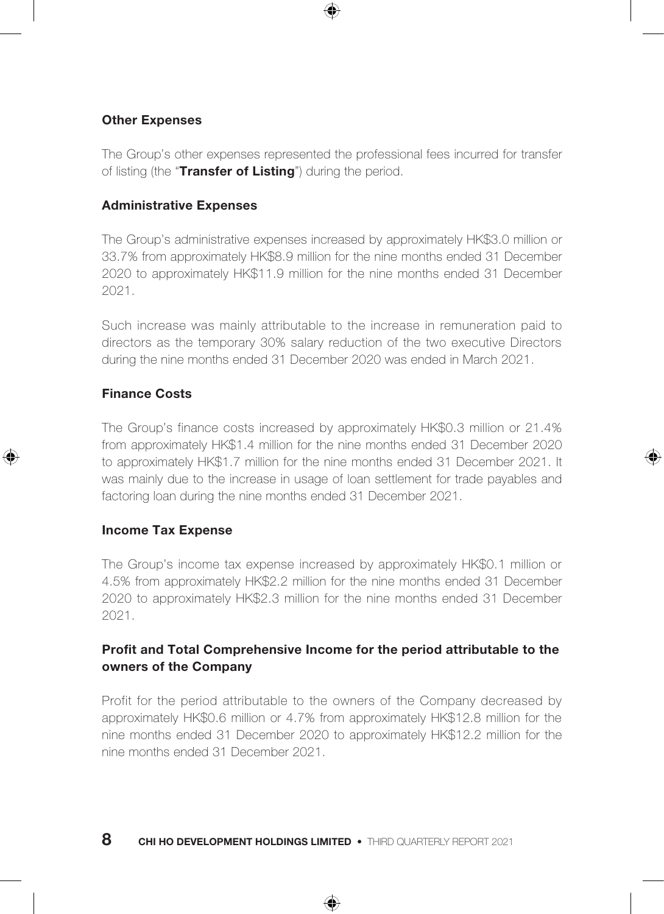### Other Expenses

The Group's other expenses represented the professional fees incurred for transfer of listing (the "Transfer of Listing") during the period.

## Administrative Expenses

The Group's administrative expenses increased by approximately HK\$3.0 million or 33.7% from approximately HK\$8.9 million for the nine months ended 31 December 2020 to approximately HK\$11.9 million for the nine months ended 31 December 2021.

Such increase was mainly attributable to the increase in remuneration paid to directors as the temporary 30% salary reduction of the two executive Directors during the nine months ended 31 December 2020 was ended in March 2021.

### Finance Costs

⊕

The Group's finance costs increased by approximately HK\$0.3 million or 21.4% from approximately HK\$1.4 million for the nine months ended 31 December 2020 to approximately HK\$1.7 million for the nine months ended 31 December 2021. It was mainly due to the increase in usage of loan settlement for trade payables and factoring loan during the nine months ended 31 December 2021.

⊕

#### Income Tax Expense

The Group's income tax expense increased by approximately HK\$0.1 million or 4.5% from approximately HK\$2.2 million for the nine months ended 31 December 2020 to approximately HK\$2.3 million for the nine months ended 31 December 2021.

## Profit and Total Comprehensive Income for the period attributable to the owners of the Company

Profit for the period attributable to the owners of the Company decreased by approximately HK\$0.6 million or 4.7% from approximately HK\$12.8 million for the nine months ended 31 December 2020 to approximately HK\$12.2 million for the nine months ended 31 December 2021.

⊕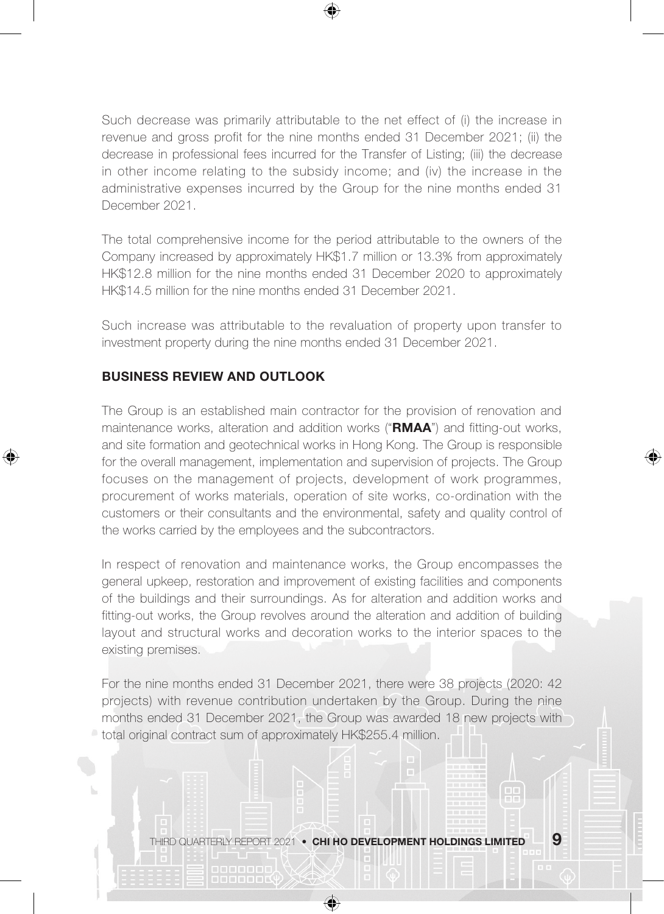

Such decrease was primarily attributable to the net effect of (i) the increase in revenue and gross profit for the nine months ended 31 December 2021; (ii) the decrease in professional fees incurred for the Transfer of Listing; (iii) the decrease in other income relating to the subsidy income; and (iv) the increase in the administrative expenses incurred by the Group for the nine months ended 31 December 2021.

The total comprehensive income for the period attributable to the owners of the Company increased by approximately HK\$1.7 million or 13.3% from approximately HK\$12.8 million for the nine months ended 31 December 2020 to approximately HK\$14.5 million for the nine months ended 31 December 2021.

Such increase was attributable to the revaluation of property upon transfer to investment property during the nine months ended 31 December 2021.

## BUSINESS REVIEW AND OUTLOOK

⊕

The Group is an established main contractor for the provision of renovation and maintenance works, alteration and addition works ("RMAA") and fitting-out works, and site formation and geotechnical works in Hong Kong. The Group is responsible for the overall management, implementation and supervision of projects. The Group focuses on the management of projects, development of work programmes, procurement of works materials, operation of site works, co-ordination with the customers or their consultants and the environmental, safety and quality control of the works carried by the employees and the subcontractors.

In respect of renovation and maintenance works, the Group encompasses the general upkeep, restoration and improvement of existing facilities and components of the buildings and their surroundings. As for alteration and addition works and fitting-out works, the Group revolves around the alteration and addition of building layout and structural works and decoration works to the interior spaces to the existing premises.

For the nine months ended 31 December 2021, there were 38 projects (2020: 42 projects) with revenue contribution undertaken by the Group. During the nine months ended 31 December 2021, the Group was awarded 18 new projects with total original contract sum of approximately HK\$255.4 million.

THIRD QUARTERLY REPORT 2021 • CHI HO DEVELOPMENT HOLDINGS LIMITED  $-9$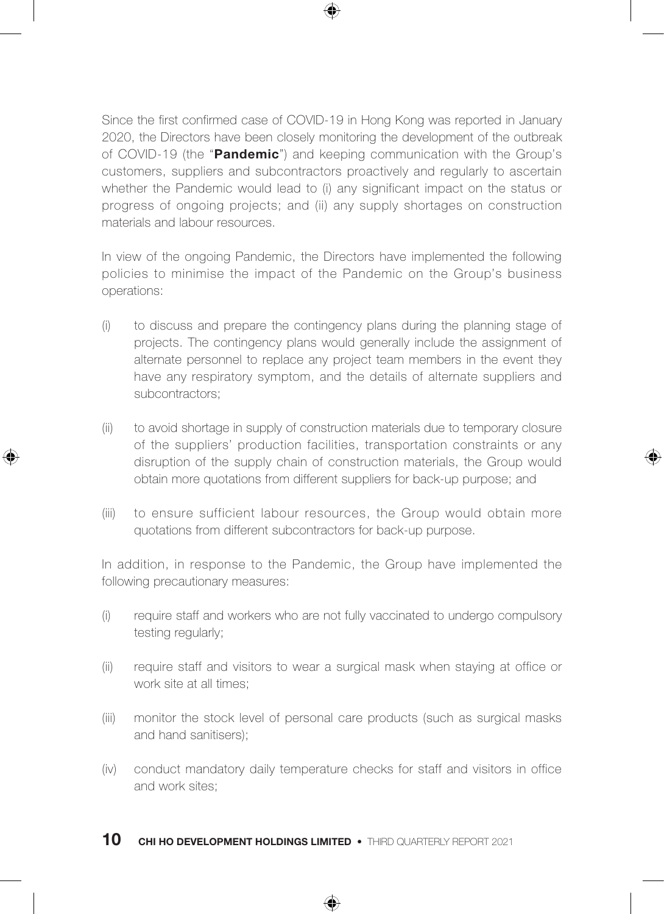Since the first confirmed case of COVID-19 in Hong Kong was reported in January 2020, the Directors have been closely monitoring the development of the outbreak of COVID-19 (the "Pandemic") and keeping communication with the Group's customers, suppliers and subcontractors proactively and regularly to ascertain whether the Pandemic would lead to (i) any significant impact on the status or progress of ongoing projects; and (ii) any supply shortages on construction materials and labour resources.

⊕

In view of the ongoing Pandemic, the Directors have implemented the following policies to minimise the impact of the Pandemic on the Group's business operations:

- (i) to discuss and prepare the contingency plans during the planning stage of projects. The contingency plans would generally include the assignment of alternate personnel to replace any project team members in the event they have any respiratory symptom, and the details of alternate suppliers and subcontractors;
- (ii) to avoid shortage in supply of construction materials due to temporary closure of the suppliers' production facilities, transportation constraints or any disruption of the supply chain of construction materials, the Group would obtain more quotations from different suppliers for back-up purpose; and

♠

⊕

(iii) to ensure sufficient labour resources, the Group would obtain more quotations from different subcontractors for back-up purpose.

In addition, in response to the Pandemic, the Group have implemented the following precautionary measures:

- (i) require staff and workers who are not fully vaccinated to undergo compulsory testing regularly;
- (ii) require staff and visitors to wear a surgical mask when staying at office or work site at all times;
- (iii) monitor the stock level of personal care products (such as surgical masks and hand sanitisers);
- (iv) conduct mandatory daily temperature checks for staff and visitors in office and work sites;

⊕

10 CHI HO DEVELOPMENT HOLDINGS LIMITED • THIRD QUARTERLY REPORT 2021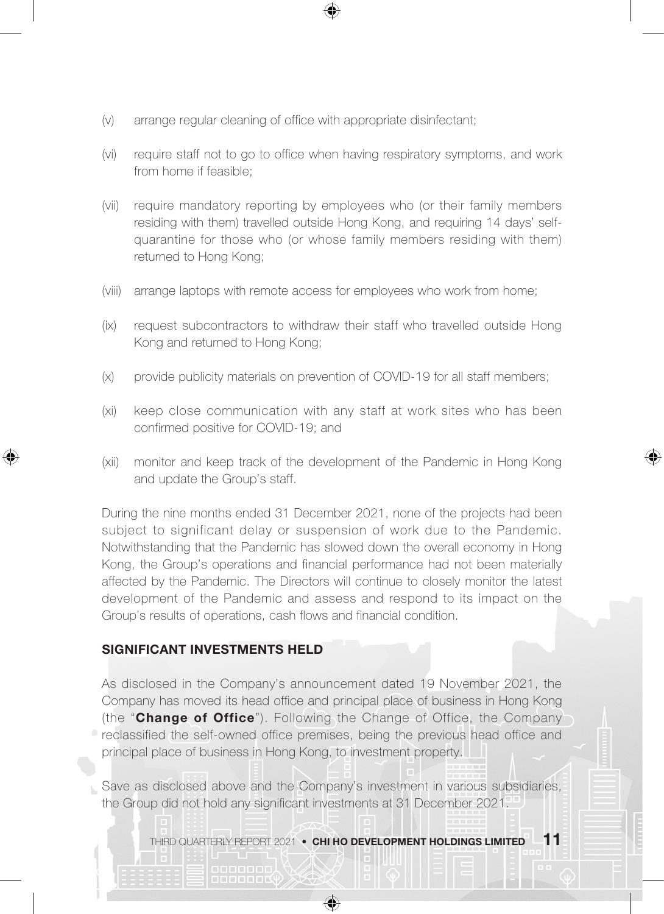- (v) arrange regular cleaning of office with appropriate disinfectant;
- (vi) require staff not to go to office when having respiratory symptoms, and work from home if feasible;
- (vii) require mandatory reporting by employees who (or their family members residing with them) travelled outside Hong Kong, and requiring 14 days' selfquarantine for those who (or whose family members residing with them) returned to Hong Kong;
- (viii) arrange laptops with remote access for employees who work from home;
- (ix) request subcontractors to withdraw their staff who travelled outside Hong Kong and returned to Hong Kong;
- (x) provide publicity materials on prevention of COVID-19 for all staff members;
- (xi) keep close communication with any staff at work sites who has been confirmed positive for COVID-19; and
- (xii) monitor and keep track of the development of the Pandemic in Hong Kong and update the Group's staff.

♠

During the nine months ended 31 December 2021, none of the projects had been subject to significant delay or suspension of work due to the Pandemic. Notwithstanding that the Pandemic has slowed down the overall economy in Hong Kong, the Group's operations and financial performance had not been materially affected by the Pandemic. The Directors will continue to closely monitor the latest development of the Pandemic and assess and respond to its impact on the Group's results of operations, cash flows and financial condition.

## SIGNIFICANT INVESTMENTS HELD

⊕

As disclosed in the Company's announcement dated 19 November 2021, the Company has moved its head office and principal place of business in Hong Kong (the "Change of Office"). Following the Change of Office, the Company reclassified the self-owned office premises, being the previous head office and principal place of business in Hong Kong, to investment property.

Save as disclosed above and the Company's investment in various subsidiaries, the Group did not hold any significant investments at 31 December 2021.

↔

THIRD QUARTERLY REPORT 2021 • CHI HO DEVELOPMENT HOLDINGS LIMITED  $-11$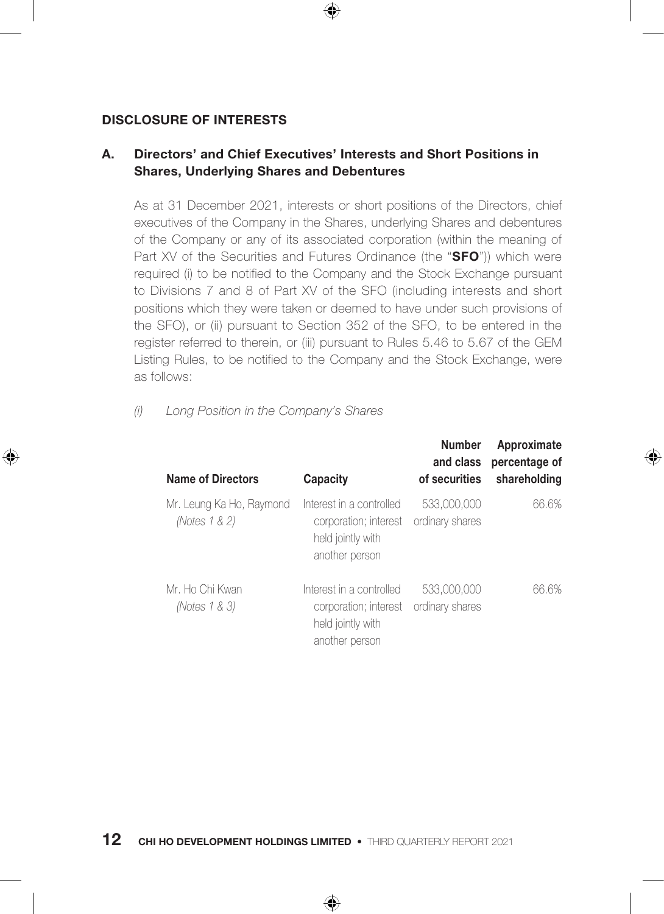## DISCLOSURE OF INTERESTS

⊕

## A. Directors' and Chief Executives' Interests and Short Positions in Shares, Underlying Shares and Debentures

⊕

As at 31 December 2021, interests or short positions of the Directors, chief executives of the Company in the Shares, underlying Shares and debentures of the Company or any of its associated corporation (within the meaning of Part XV of the Securities and Futures Ordinance (the "SFO")) which were required (i) to be notified to the Company and the Stock Exchange pursuant to Divisions 7 and 8 of Part XV of the SFO (including interests and short positions which they were taken or deemed to have under such provisions of the SFO), or (ii) pursuant to Section 352 of the SFO, to be entered in the register referred to therein, or (iii) pursuant to Rules 5.46 to 5.67 of the GEM Listing Rules, to be notified to the Company and the Stock Exchange, were as follows:

### *(i) Long Position in the Company's Shares*

| <b>Name of Directors</b>                  | Capacity                                                                                 | <b>Number</b><br>and class<br>of securities | Approximate<br>percentage of<br>shareholding |
|-------------------------------------------|------------------------------------------------------------------------------------------|---------------------------------------------|----------------------------------------------|
| Mr. Leung Ka Ho, Raymond<br>(Notes 1 & 2) | Interest in a controlled<br>corporation; interest<br>held jointly with<br>another person | 533,000,000<br>ordinary shares              | 66.6%                                        |
| Mr. Ho Chi Kwan<br>(Notes 1 & 3)          | Interest in a controlled<br>corporation; interest<br>held jointly with<br>another person | 533,000,000<br>ordinary shares              | 66.6%                                        |

⊕

**12** CHI HO DEVELOPMENT HOLDINGS LIMITED • THIRD QUARTERLY REPORT 2021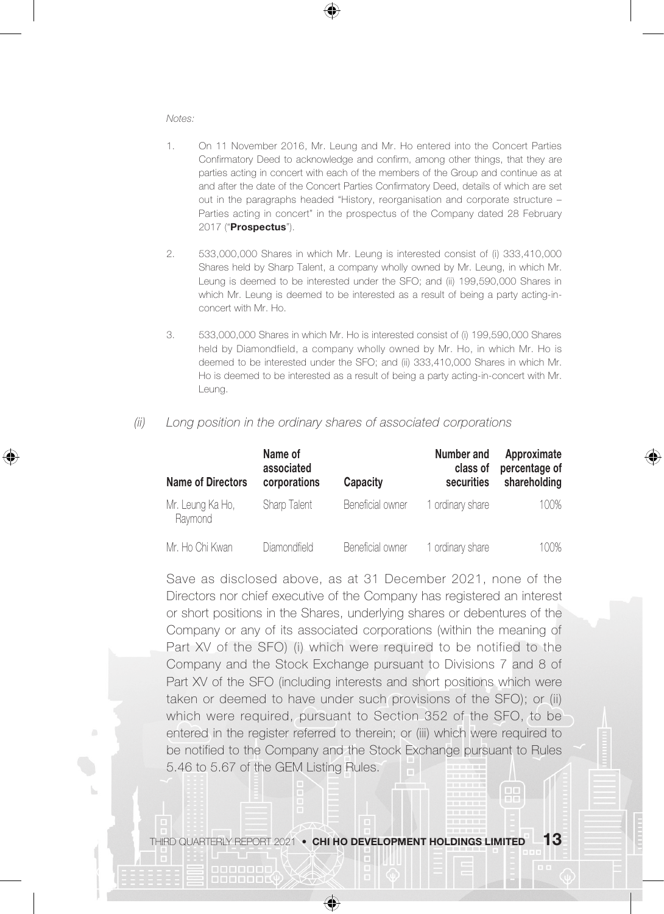#### *Notes:*

⊕

- 1. On 11 November 2016, Mr. Leung and Mr. Ho entered into the Concert Parties Confirmatory Deed to acknowledge and confirm, among other things, that they are parties acting in concert with each of the members of the Group and continue as at and after the date of the Concert Parties Confirmatory Deed, details of which are set out in the paragraphs headed "History, reorganisation and corporate structure – Parties acting in concert" in the prospectus of the Company dated 28 February 2017 ("Prospectus").
- 2. 533,000,000 Shares in which Mr. Leung is interested consist of (i) 333,410,000 Shares held by Sharp Talent, a company wholly owned by Mr. Leung, in which Mr. Leung is deemed to be interested under the SFO; and (ii) 199,590,000 Shares in which Mr. Leung is deemed to be interested as a result of being a party acting-inconcert with Mr. Ho.
- 3. 533,000,000 Shares in which Mr. Ho is interested consist of (i) 199,590,000 Shares held by Diamondfield, a company wholly owned by Mr. Ho, in which Mr. Ho is deemed to be interested under the SFO; and (ii) 333,410,000 Shares in which Mr. Ho is deemed to be interested as a result of being a party acting-in-concert with Mr. Leung.

| Name of Directors           | Name of<br>associated<br>corporations | Capacity         | Number and<br>class of<br>securities | Approximate<br>percentage of<br>shareholding |
|-----------------------------|---------------------------------------|------------------|--------------------------------------|----------------------------------------------|
| Mr. Leung Ka Ho,<br>Raymond | Sharp Talent                          | Beneficial owner | 1 ordinary share                     | 100%                                         |
| Mr. Ho Chi Kwan             | Diamondfield                          | Beneficial owner | 1 ordinary share                     | 100%                                         |

*(ii) Long position in the ordinary shares of associated corporations*

Save as disclosed above, as at 31 December 2021, none of the Directors nor chief executive of the Company has registered an interest or short positions in the Shares, underlying shares or debentures of the Company or any of its associated corporations (within the meaning of Part XV of the SFO) (i) which were required to be notified to the Company and the Stock Exchange pursuant to Divisions 7 and 8 of Part XV of the SFO (including interests and short positions which were taken or deemed to have under such provisions of the SFO); or (ii) which were required, pursuant to Section 352 of the SFO, to be entered in the register referred to therein; or (iii) which were required to be notified to the Company and the Stock Exchange pursuant to Rules 5.46 to 5.67 of the GEM Listing Rules.

 $\bigoplus$ 

a a a a a a a a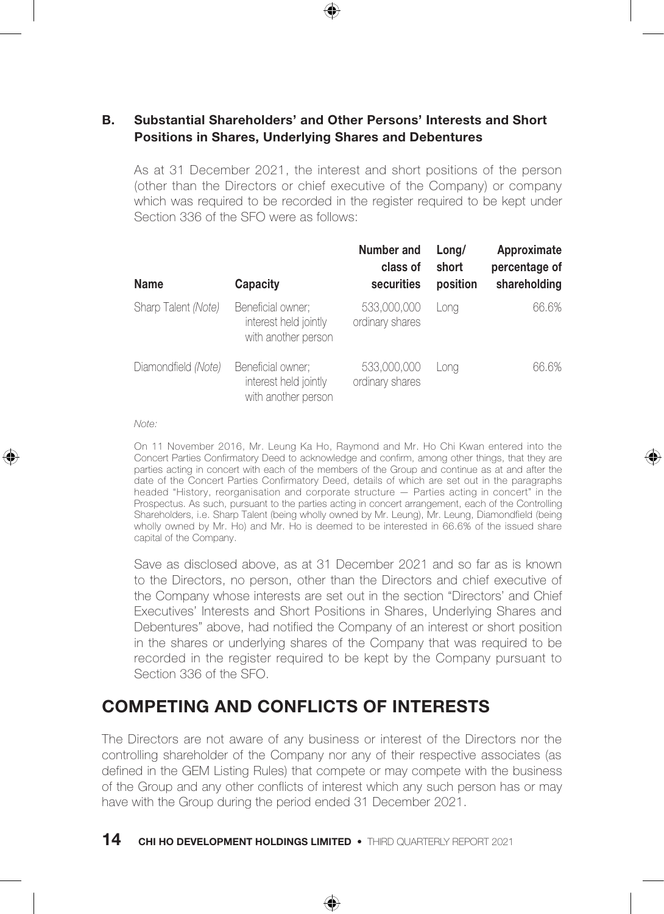## B. Substantial Shareholders' and Other Persons' Interests and Short Positions in Shares, Underlying Shares and Debentures

As at 31 December 2021, the interest and short positions of the person (other than the Directors or chief executive of the Company) or company which was required to be recorded in the register required to be kept under Section 336 of the SFO were as follows:

| Name                | Capacity                                                          | Number and<br>class of<br>securities | Long/<br>short<br>position | Approximate<br>percentage of<br>shareholding |
|---------------------|-------------------------------------------------------------------|--------------------------------------|----------------------------|----------------------------------------------|
| Sharp Talent (Note) | Beneficial owner:<br>interest held jointly<br>with another person | 533,000,000<br>ordinary shares       | Lona                       | 66.6%                                        |
| Diamondfield (Note) | Beneficial owner;<br>interest held jointly<br>with another person | 533,000,000<br>ordinary shares       | Lona                       | 66.6%                                        |

*Note:*

⊕

On 11 November 2016, Mr. Leung Ka Ho, Raymond and Mr. Ho Chi Kwan entered into the Concert Parties Confirmatory Deed to acknowledge and confirm, among other things, that they are parties acting in concert with each of the members of the Group and continue as at and after the date of the Concert Parties Confirmatory Deed, details of which are set out in the paragraphs headed "History, reorganisation and corporate structure — Parties acting in concert" in the Prospectus. As such, pursuant to the parties acting in concert arrangement, each of the Controlling Shareholders, i.e. Sharp Talent (being wholly owned by Mr. Leung), Mr. Leung, Diamondfield (being wholly owned by Mr. Ho) and Mr. Ho is deemed to be interested in 66.6% of the issued share capital of the Company.

⊕

Save as disclosed above, as at 31 December 2021 and so far as is known to the Directors, no person, other than the Directors and chief executive of the Company whose interests are set out in the section "Directors' and Chief Executives' Interests and Short Positions in Shares, Underlying Shares and Debentures" above, had notified the Company of an interest or short position in the shares or underlying shares of the Company that was required to be recorded in the register required to be kept by the Company pursuant to Section 336 of the SFO.

## COMPETING AND CONFLICTS OF INTERESTS

The Directors are not aware of any business or interest of the Directors nor the controlling shareholder of the Company nor any of their respective associates (as defined in the GEM Listing Rules) that compete or may compete with the business of the Group and any other conflicts of interest which any such person has or may have with the Group during the period ended 31 December 2021.

◈

**14 CHI HO DEVELOPMENT HOLDINGS LIMITED •** THIRD QUARTERLY REPORT 2021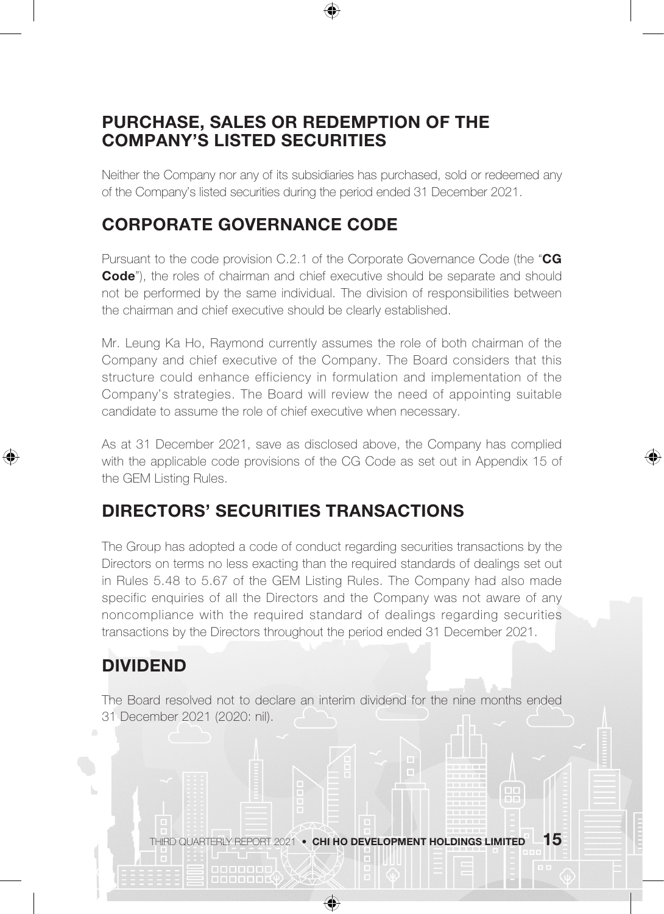## PURCHASE, SALES OR REDEMPTION OF THE COMPANY'S LISTED SECURITIES

Neither the Company nor any of its subsidiaries has purchased, sold or redeemed any of the Company's listed securities during the period ended 31 December 2021.

# CORPORATE GOVERNANCE CODE

Pursuant to the code provision  $C.2.1$  of the Corporate Governance Code (the " $CG$ Code"), the roles of chairman and chief executive should be separate and should not be performed by the same individual. The division of responsibilities between the chairman and chief executive should be clearly established.

Mr. Leung Ka Ho, Raymond currently assumes the role of both chairman of the Company and chief executive of the Company. The Board considers that this structure could enhance efficiency in formulation and implementation of the Company's strategies. The Board will review the need of appointing suitable candidate to assume the role of chief executive when necessary.

As at 31 December 2021, save as disclosed above, the Company has complied with the applicable code provisions of the CG Code as set out in Appendix 15 of the GEM Listing Rules.

♠

# DIRECTORS' SECURITIES TRANSACTIONS

The Group has adopted a code of conduct regarding securities transactions by the Directors on terms no less exacting than the required standards of dealings set out in Rules 5.48 to 5.67 of the GEM Listing Rules. The Company had also made specific enquiries of all the Directors and the Company was not aware of any noncompliance with the required standard of dealings regarding securities transactions by the Directors throughout the period ended 31 December 2021.

# DIVIDEND

⊕

The Board resolved not to declare an interim dividend for the nine months ended 31 December 2021 (2020: nil).

THIRD QUARTERLY REPORT 2021 • CHI HO DEVELOPMENT HOLDINGS LIMITED  $\,$   $\,15$